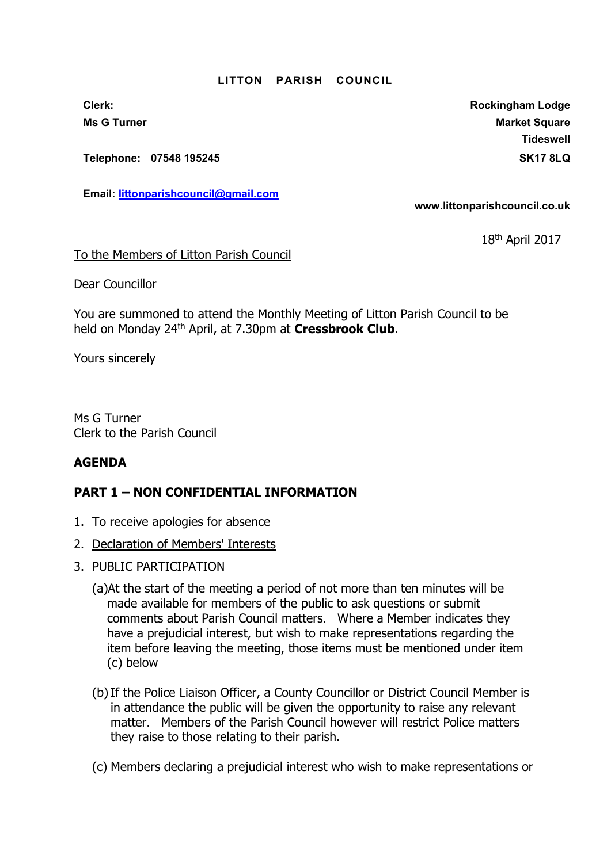## LITTON PARISH COUNCIL

Telephone: 07548 195245 SK17 8LQ

Email: littonparishcouncil@gmail.com

Clerk: Clerk: Clerk: Rockingham Lodge Ms G Turner Market Square Market Square Market Square Market Square Market Square Market Square Market Square **Tideswell** 

www.littonparishcouncil.co.uk

18th April 2017

To the Members of Litton Parish Council

Dear Councillor

You are summoned to attend the Monthly Meeting of Litton Parish Council to be held on Monday 24<sup>th</sup> April, at 7.30pm at Cressbrook Club.

Yours sincerely

Ms G Turner Clerk to the Parish Council

## AGENDA

## PART 1 – NON CONFIDENTIAL INFORMATION

- 1. To receive apologies for absence
- 2. Declaration of Members' Interests
- 3. PUBLIC PARTICIPATION
	- (a)At the start of the meeting a period of not more than ten minutes will be made available for members of the public to ask questions or submit comments about Parish Council matters. Where a Member indicates they have a prejudicial interest, but wish to make representations regarding the item before leaving the meeting, those items must be mentioned under item (c) below
	- (b) If the Police Liaison Officer, a County Councillor or District Council Member is in attendance the public will be given the opportunity to raise any relevant matter. Members of the Parish Council however will restrict Police matters they raise to those relating to their parish.
	- (c) Members declaring a prejudicial interest who wish to make representations or